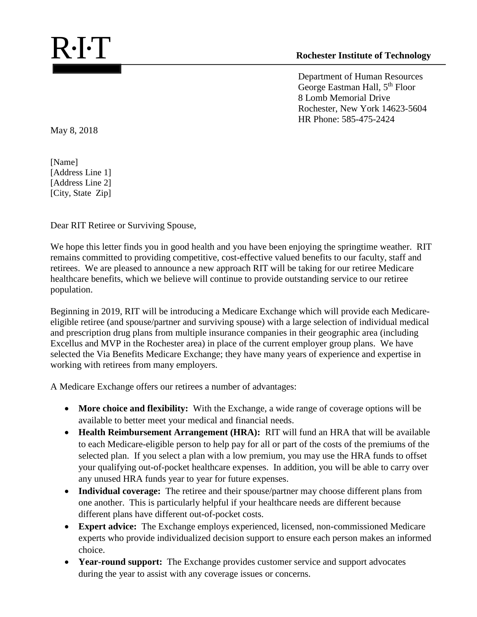Department of Human Resources George Eastman Hall, 5th Floor 8 Lomb Memorial Drive Rochester, New York 14623-5604 HR Phone: 585-475-2424

May 8, 2018

[Name] [Address Line 1] [Address Line 2] [City, State Zip]

Dear RIT Retiree or Surviving Spouse,

We hope this letter finds you in good health and you have been enjoying the springtime weather. RIT remains committed to providing competitive, cost-effective valued benefits to our faculty, staff and retirees. We are pleased to announce a new approach RIT will be taking for our retiree Medicare healthcare benefits, which we believe will continue to provide outstanding service to our retiree population.

Beginning in 2019, RIT will be introducing a Medicare Exchange which will provide each Medicareeligible retiree (and spouse/partner and surviving spouse) with a large selection of individual medical and prescription drug plans from multiple insurance companies in their geographic area (including Excellus and MVP in the Rochester area) in place of the current employer group plans. We have selected the Via Benefits Medicare Exchange; they have many years of experience and expertise in working with retirees from many employers.

A Medicare Exchange offers our retirees a number of advantages:

- More choice and flexibility: With the Exchange, a wide range of coverage options will be available to better meet your medical and financial needs.
- **Health Reimbursement Arrangement (HRA):** RIT will fund an HRA that will be available to each Medicare-eligible person to help pay for all or part of the costs of the premiums of the selected plan. If you select a plan with a low premium, you may use the HRA funds to offset your qualifying out-of-pocket healthcare expenses. In addition, you will be able to carry over any unused HRA funds year to year for future expenses.
- **Individual coverage:** The retiree and their spouse/partner may choose different plans from one another. This is particularly helpful if your healthcare needs are different because different plans have different out-of-pocket costs.
- **Expert advice:** The Exchange employs experienced, licensed, non-commissioned Medicare experts who provide individualized decision support to ensure each person makes an informed choice.
- **Year-round support:** The Exchange provides customer service and support advocates during the year to assist with any coverage issues or concerns.